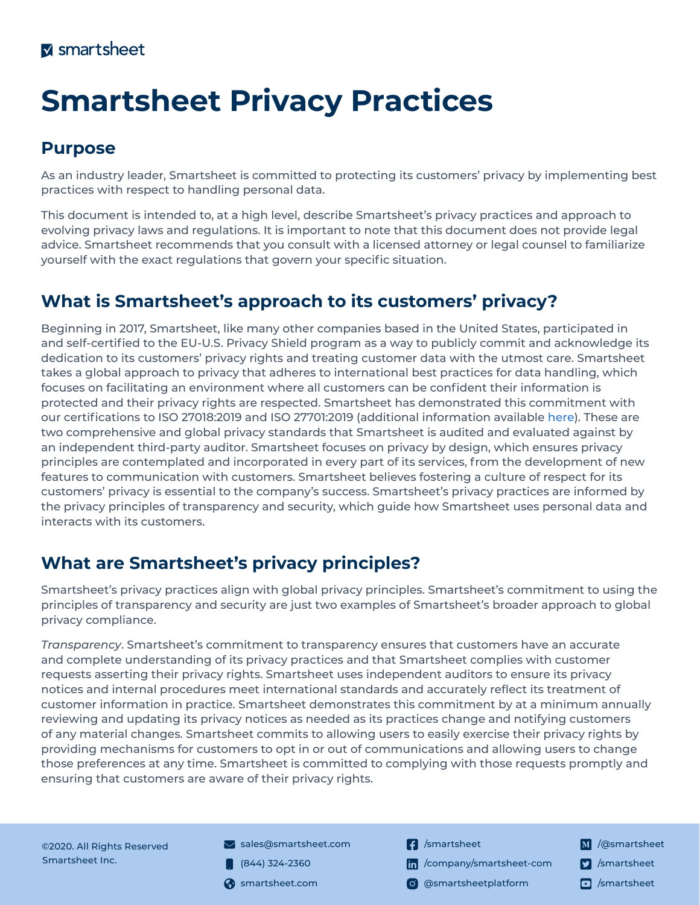# **Smartsheet Privacy Practices**

### **Purpose**

As an industry leader, Smartsheet is committed to protecting its customers' privacy by implementing best practices with respect to handling personal data.

This document is intended to, at a high level, describe Smartsheet's privacy practices and approach to evolving privacy laws and regulations. It is important to note that this document does not provide legal advice. Smartsheet recommends that you consult with a licensed attorney or legal counsel to familiarize yourself with the exact regulations that govern your specific situation.

## **What is Smartsheet's approach to its customers' privacy?**

Beginning in 2017, Smartsheet, like many other companies based in the United States, participated in and self-certified to the EU-U.S. Privacy Shield program as a way to publicly commit and acknowledge its dedication to its customers' privacy rights and treating customer data with the utmost care. Smartsheet takes a global approach to privacy that adheres to international best practices for data handling, which focuses on facilitating an environment where all customers can be confident their information is protected and their privacy rights are respected. Smartsheet has demonstrated this commitment with our certifications to ISO 27018:2019 and ISO 27701:2019 (additional information available [here](https://www.smartsheet.com/trust/compliance/iso)). These are two comprehensive and global privacy standards that Smartsheet is audited and evaluated against by an independent third-party auditor. Smartsheet focuses on privacy by design, which ensures privacy principles are contemplated and incorporated in every part of its services, from the development of new features to communication with customers. Smartsheet believes fostering a culture of respect for its customers' privacy is essential to the company's success. Smartsheet's privacy practices are informed by the privacy principles of transparency and security, which guide how Smartsheet uses personal data and interacts with its customers.

## **What are Smartsheet's privacy principles?**

Smartsheet's privacy practices align with global privacy principles. Smartsheet's commitment to using the principles of transparency and security are just two examples of Smartsheet's broader approach to global privacy compliance.

*Transparency*. Smartsheet's commitment to transparency ensures that customers have an accurate and complete understanding of its privacy practices and that Smartsheet complies with customer requests asserting their privacy rights. Smartsheet uses independent auditors to ensure its privacy notices and internal procedures meet international standards and accurately reflect its treatment of customer information in practice. Smartsheet demonstrates this commitment by at a minimum annually reviewing and updating its privacy notices as needed as its practices change and notifying customers of any material changes. Smartsheet commits to allowing users to easily exercise their privacy rights by providing mechanisms for customers to opt in or out of communications and allowing users to change those preferences at any time. Smartsheet is committed to complying with those requests promptly and ensuring that customers are aware of their privacy rights.

©2020. All Rights Reserved Smartsheet Inc.

- $\blacktriangleright$  sales[@smartsheet.com](sales@smartsheet.com)
- $(844)$  324-2360
- 
- **1** [/smartsheet](https://www.facebook.com/smartsheet)
- [/company/smartsheet-com](https://www.linkedin.com/company/smartsheet-com/)
- smartsheet.com (o) [@smartsheetplatform](https://www.instagram.com/smartsheetplatform/)
- M /[@smartsheet](https://medium.com/@Smartsheet) **7** [/smartsheet](https://twitter.com/Smartsheet)
-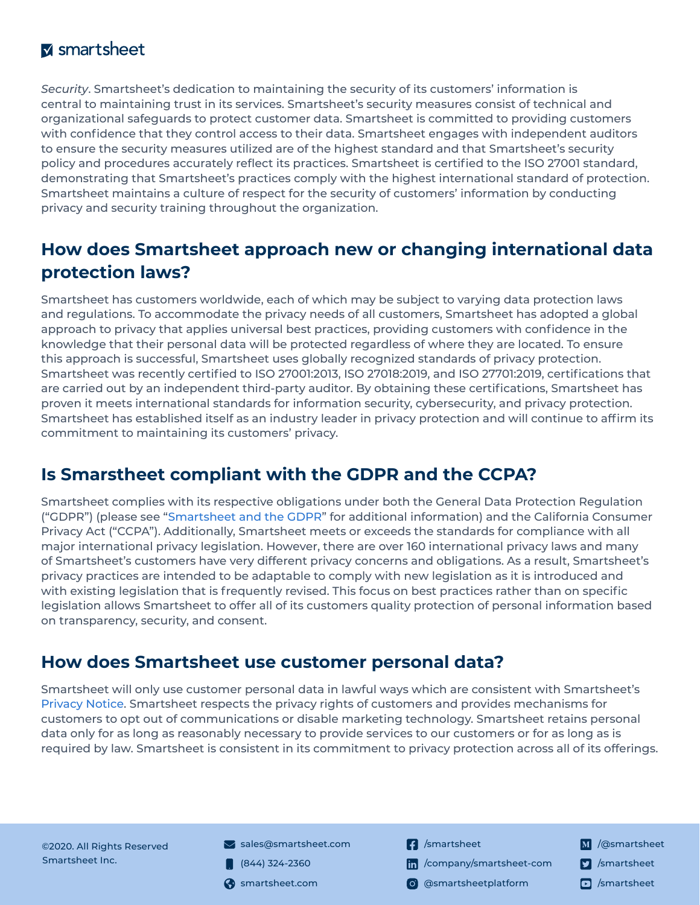#### **M** smartsheet

*Security*. Smartsheet's dedication to maintaining the security of its customers' information is central to maintaining trust in its services. Smartsheet's security measures consist of technical and organizational safeguards to protect customer data. Smartsheet is committed to providing customers with confidence that they control access to their data. Smartsheet engages with independent auditors to ensure the security measures utilized are of the highest standard and that Smartsheet's security policy and procedures accurately reflect its practices. Smartsheet is certified to the ISO 27001 standard, demonstrating that Smartsheet's practices comply with the highest international standard of protection. Smartsheet maintains a culture of respect for the security of customers' information by conducting privacy and security training throughout the organization.

#### **How does Smartsheet approach new or changing international data protection laws?**

Smartsheet has customers worldwide, each of which may be subject to varying data protection laws and regulations. To accommodate the privacy needs of all customers, Smartsheet has adopted a global approach to privacy that applies universal best practices, providing customers with confidence in the knowledge that their personal data will be protected regardless of where they are located. To ensure this approach is successful, Smartsheet uses globally recognized standards of privacy protection. Smartsheet was recently certified to ISO 27001:2013, ISO 27018:2019, and ISO 27701:2019, certifications that are carried out by an independent third-party auditor. By obtaining these certifications, Smartsheet has proven it meets international standards for information security, cybersecurity, and privacy protection. Smartsheet has established itself as an industry leader in privacy protection and will continue to affirm its commitment to maintaining its customers' privacy.

#### **Is Smarstheet compliant with the GDPR and the CCPA?**

Smartsheet complies with its respective obligations under both the General Data Protection Regulation ("GDPR") (please see "[Smartsheet and the GDPR"](https://www.smartsheet.com/smartsheet_and_the_gdpr_datasheet) for additional information) and the California Consumer Privacy Act ("CCPA"). Additionally, Smartsheet meets or exceeds the standards for compliance with all major international privacy legislation. However, there are over 160 international privacy laws and many of Smartsheet's customers have very different privacy concerns and obligations. As a result, Smartsheet's privacy practices are intended to be adaptable to comply with new legislation as it is introduced and with existing legislation that is frequently revised. This focus on best practices rather than on specific legislation allows Smartsheet to offer all of its customers quality protection of personal information based on transparency, security, and consent.

#### **How does Smartsheet use customer personal data?**

Smartsheet will only use customer personal data in lawful ways which are consistent with Smartsheet's [Privacy Notice](https://www.smartsheet.com/legal/privacy). Smartsheet respects the privacy rights of customers and provides mechanisms for customers to opt out of communications or disable marketing technology. Smartsheet retains personal data only for as long as reasonably necessary to provide services to our customers or for as long as is required by law. Smartsheet is consistent in its commitment to privacy protection across all of its offerings.

©2020. All Rights Reserved Smartsheet Inc.

- $\blacktriangleright$  sales[@smartsheet.com](sales@smartsheet.com)
- $(844)$  324-2360
- 
- **1** [/smartsheet](https://www.facebook.com/smartsheet)
- [/company/smartsheet-com](https://www.linkedin.com/company/smartsheet-com/)
- smartsheet.com (o) [@smartsheetplatform](https://www.instagram.com/smartsheetplatform/)
- M /[@smartsheet](https://medium.com/@Smartsheet) **7** [/smartsheet](https://twitter.com/Smartsheet)
-